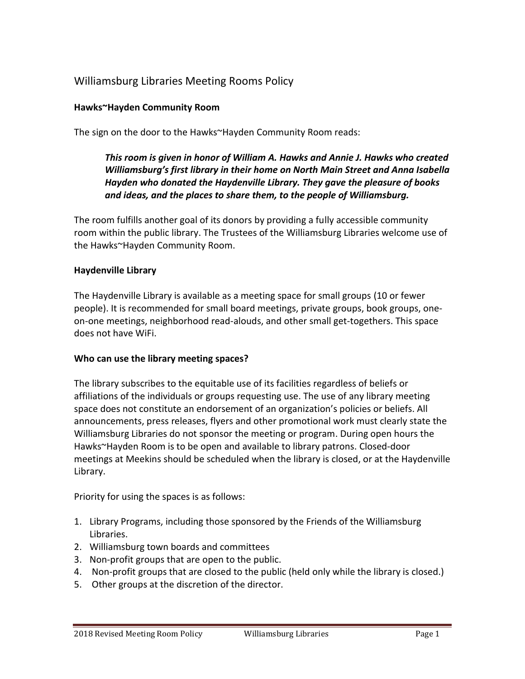# Williamsburg Libraries Meeting Rooms Policy

#### **Hawks~Hayden Community Room**

The sign on the door to the Hawks~Hayden Community Room reads:

*This room is given in honor of William A. Hawks and Annie J. Hawks who created Williamsburg's first library in their home on North Main Street and Anna Isabella Hayden who donated the Haydenville Library. They gave the pleasure of books and ideas, and the places to share them, to the people of Williamsburg.*

The room fulfills another goal of its donors by providing a fully accessible community room within the public library. The Trustees of the Williamsburg Libraries welcome use of the Hawks~Hayden Community Room.

#### **Haydenville Library**

The Haydenville Library is available as a meeting space for small groups (10 or fewer people). It is recommended for small board meetings, private groups, book groups, oneon-one meetings, neighborhood read-alouds, and other small get-togethers. This space does not have WiFi.

#### **Who can use the library meeting spaces?**

The library subscribes to the equitable use of its facilities regardless of beliefs or affiliations of the individuals or groups requesting use. The use of any library meeting space does not constitute an endorsement of an organization's policies or beliefs. All announcements, press releases, flyers and other promotional work must clearly state the Williamsburg Libraries do not sponsor the meeting or program. During open hours the Hawks~Hayden Room is to be open and available to library patrons. Closed-door meetings at Meekins should be scheduled when the library is closed, or at the Haydenville Library.

Priority for using the spaces is as follows:

- 1. Library Programs, including those sponsored by the Friends of the Williamsburg Libraries.
- 2. Williamsburg town boards and committees
- 3. Non-profit groups that are open to the public.
- 4. Non-profit groups that are closed to the public (held only while the library is closed.)
- 5. Other groups at the discretion of the director.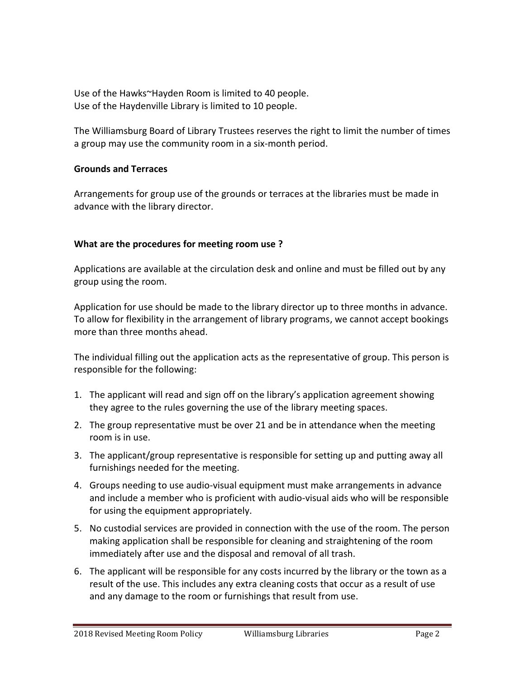Use of the Hawks~Hayden Room is limited to 40 people. Use of the Haydenville Library is limited to 10 people.

The Williamsburg Board of Library Trustees reserves the right to limit the number of times a group may use the community room in a six-month period.

#### **Grounds and Terraces**

Arrangements for group use of the grounds or terraces at the libraries must be made in advance with the library director.

## **What are the procedures for meeting room use ?**

Applications are available at the circulation desk and online and must be filled out by any group using the room.

Application for use should be made to the library director up to three months in advance. To allow for flexibility in the arrangement of library programs, we cannot accept bookings more than three months ahead.

The individual filling out the application acts as the representative of group. This person is responsible for the following:

- 1. The applicant will read and sign off on the library's application agreement showing they agree to the rules governing the use of the library meeting spaces.
- 2. The group representative must be over 21 and be in attendance when the meeting room is in use.
- 3. The applicant/group representative is responsible for setting up and putting away all furnishings needed for the meeting.
- 4. Groups needing to use audio-visual equipment must make arrangements in advance and include a member who is proficient with audio-visual aids who will be responsible for using the equipment appropriately.
- 5. No custodial services are provided in connection with the use of the room. The person making application shall be responsible for cleaning and straightening of the room immediately after use and the disposal and removal of all trash.
- 6. The applicant will be responsible for any costs incurred by the library or the town as a result of the use. This includes any extra cleaning costs that occur as a result of use and any damage to the room or furnishings that result from use.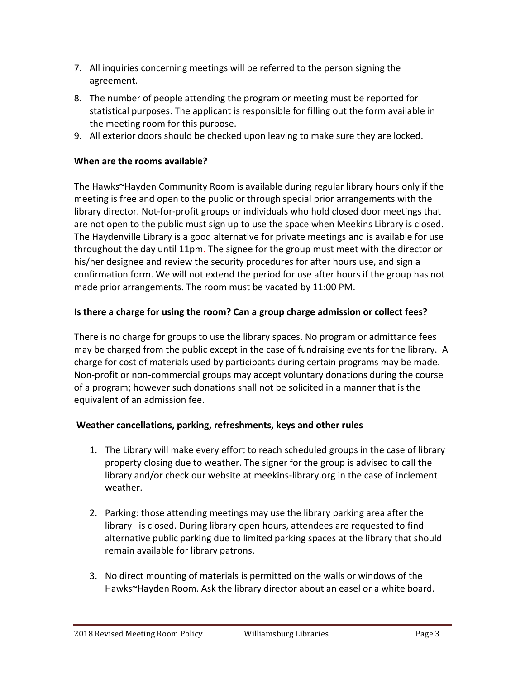- 7. All inquiries concerning meetings will be referred to the person signing the agreement.
- 8. The number of people attending the program or meeting must be reported for statistical purposes. The applicant is responsible for filling out the form available in the meeting room for this purpose.
- 9. All exterior doors should be checked upon leaving to make sure they are locked.

#### **When are the rooms available?**

The Hawks~Hayden Community Room is available during regular library hours only if the meeting is free and open to the public or through special prior arrangements with the library director. Not-for-profit groups or individuals who hold closed door meetings that are not open to the public must sign up to use the space when Meekins Library is closed. The Haydenville Library is a good alternative for private meetings and is available for use throughout the day until 11pm. The signee for the group must meet with the director or his/her designee and review the security procedures for after hours use, and sign a confirmation form. We will not extend the period for use after hours if the group has not made prior arrangements. The room must be vacated by 11:00 PM.

## **Is there a charge for using the room? Can a group charge admission or collect fees?**

There is no charge for groups to use the library spaces. No program or admittance fees may be charged from the public except in the case of fundraising events for the library. A charge for cost of materials used by participants during certain programs may be made. Non-profit or non-commercial groups may accept voluntary donations during the course of a program; however such donations shall not be solicited in a manner that is the equivalent of an admission fee.

#### **Weather cancellations, parking, refreshments, keys and other rules**

- 1. The Library will make every effort to reach scheduled groups in the case of library property closing due to weather. The signer for the group is advised to call the library and/or check our website at meekins-library.org in the case of inclement weather.
- 2. Parking: those attending meetings may use the library parking area after the library is closed. During library open hours, attendees are requested to find alternative public parking due to limited parking spaces at the library that should remain available for library patrons.
- 3. No direct mounting of materials is permitted on the walls or windows of the Hawks~Hayden Room. Ask the library director about an easel or a white board.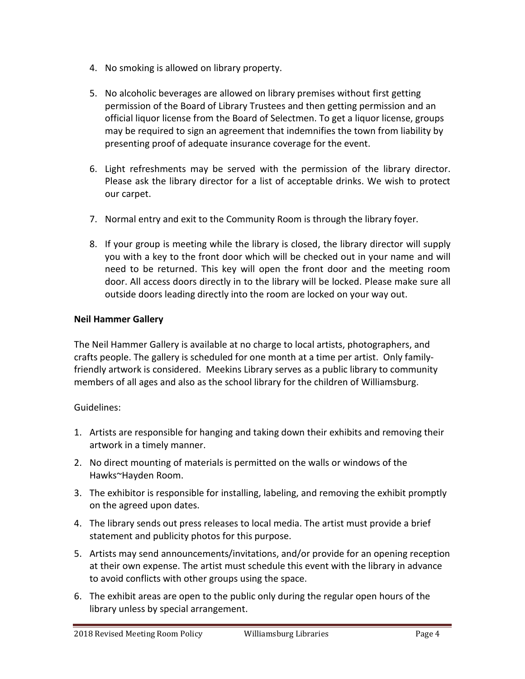- 4. No smoking is allowed on library property.
- 5. No alcoholic beverages are allowed on library premises without first getting permission of the Board of Library Trustees and then getting permission and an official liquor license from the Board of Selectmen. To get a liquor license, groups may be required to sign an agreement that indemnifies the town from liability by presenting proof of adequate insurance coverage for the event.
- 6. Light refreshments may be served with the permission of the library director. Please ask the library director for a list of acceptable drinks. We wish to protect our carpet.
- 7. Normal entry and exit to the Community Room is through the library foyer.
- 8. If your group is meeting while the library is closed, the library director will supply you with a key to the front door which will be checked out in your name and will need to be returned. This key will open the front door and the meeting room door. All access doors directly in to the library will be locked. Please make sure all outside doors leading directly into the room are locked on your way out.

#### **Neil Hammer Gallery**

The Neil Hammer Gallery is available at no charge to local artists, photographers, and crafts people. The gallery is scheduled for one month at a time per artist. Only familyfriendly artwork is considered. Meekins Library serves as a public library to community members of all ages and also as the school library for the children of Williamsburg.

#### Guidelines:

- 1. Artists are responsible for hanging and taking down their exhibits and removing their artwork in a timely manner.
- 2. No direct mounting of materials is permitted on the walls or windows of the Hawks~Hayden Room.
- 3. The exhibitor is responsible for installing, labeling, and removing the exhibit promptly on the agreed upon dates.
- 4. The library sends out press releases to local media. The artist must provide a brief statement and publicity photos for this purpose.
- 5. Artists may send announcements/invitations, and/or provide for an opening reception at their own expense. The artist must schedule this event with the library in advance to avoid conflicts with other groups using the space.
- 6. The exhibit areas are open to the public only during the regular open hours of the library unless by special arrangement.